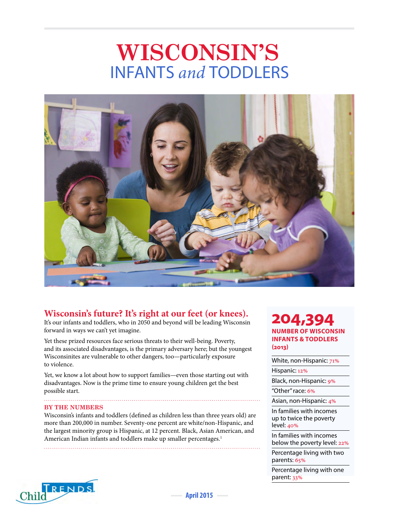# **WISCONSIN'S** INFANTS *and* TODDLERS



# **Wisconsin's future? It's right at our feet (or knees).**

It's our infants and toddlers, who in 2050 and beyond will be leading Wisconsin forward in ways we can't yet imagine.

Yet these prized resources face serious threats to their well-being. Poverty, and its associated disadvantages, is the primary adversary here; but the youngest Wisconsinites are vulnerable to other dangers, too—particularly exposure to violence.

Yet, we know a lot about how to support families—even those starting out with disadvantages. Now is the prime time to ensure young children get the best possible start.

## **BY THE NUMBERS**

Wisconsin's infants and toddlers (defined as children less than three years old) are more than 200,000 in number. Seventy-one percent are white/non-Hispanic, and the largest minority group is Hispanic, at 12 percent. Black, Asian American, and American Indian infants and toddlers make up smaller percentages.<sup>1</sup>

**204,394 NUMBER OF WISCONSIN INFANTS & TODDLERS (2013)**

White, non-Hispanic:  $71%$ 

Hispanic: 12%

Black, non-Hispanic: 9%

"Other" race: 6%

Asian, non-Hispanic: 4%

In families with incomes up to twice the poverty level: 40%

In families with incomes below the poverty level: 22%

Percentage living with two parents: 65%

Percentage living with one parent: 33%

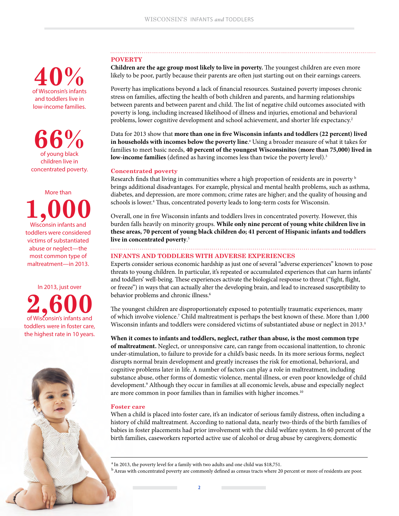### **POVERTY**

**Children are the age group most likely to live in poverty.** The youngest children are even more likely to be poor, partly because their parents are often just starting out on their earnings careers.

Poverty has implications beyond a lack of financial resources. Sustained poverty imposes chronic stress on families, affecting the health of both children and parents, and harming relationships between parents and between parent and child. The list of negative child outcomes associated with poverty is long, including increased likelihood of illness and injuries, emotional and behavioral problems, lower cognitive development and school achievement, and shorter life expectancy.<sup>2</sup>

Data for 2013 show that **more than one in five Wisconsin infants and toddlers (22 percent) lived in households with incomes below the poverty line**.<sup>a</sup> Using a broader measure of what it takes for families to meet basic needs, **40 percent of the youngest Wisconsinites (more than 75,000) lived in low-income families** (defined as having incomes less than twice the poverty level).3

#### **Concentrated poverty**

Research finds that living in communities where a high proportion of residents are in poverty b brings additional disadvantages. For example, physical and mental health problems, such as asthma, diabetes, and depression, are more common; crime rates are higher; and the quality of housing and schools is lower.<sup>4</sup> Thus, concentrated poverty leads to long-term costs for Wisconsin.

Overall, one in five Wisconsin infants and toddlers lives in concentrated poverty. However, this burden falls heavily on minority groups. **While only nine percent of young white children live in these areas, 70 percent of young black children do; 41 percent of Hispanic infants and toddlers live in concentrated poverty**. 5

# **INFANTS AND TODDLERS WITH ADVERSE EXPERIENCES**

Experts consider serious economic hardship as just one of several "adverse experiences" known to pose threats to young children. In particular, it's repeated or accumulated experiences that can harm infants' and toddlers' well-being. These experiences activate the biological response to threat ("fight, flight, or freeze") in ways that can actually alter the developing brain, and lead to increased susceptibility to behavior problems and chronic illness.<sup>6</sup>

The youngest children are disproportionately exposed to potentially traumatic experiences, many of which involve violence.7 Child maltreatment is perhaps the best known of these. More than 1,000 Wisconsin infants and toddlers were considered victims of substantiated abuse or neglect in 2013.<sup>8</sup>

**When it comes to infants and toddlers, neglect, rather than abuse, is the most common type of maltreatment.** Neglect, or unresponsive care, can range from occasional inattention, to chronic under-stimulation, to failure to provide for a child's basic needs. In its more serious forms, neglect disrupts normal brain development and greatly increases the risk for emotional, behavioral, and cognitive problems later in life. A number of factors can play a role in maltreatment, including substance abuse, other forms of domestic violence, mental illness, or even poor knowledge of child development.<sup>9</sup> Although they occur in families at all economic levels, abuse and especially neglect are more common in poor families than in families with higher incomes.<sup>10</sup>

#### **Foster care**

When a child is placed into foster care, it's an indicator of serious family distress, often including a history of child maltreatment. According to national data, nearly two-thirds of the birth families of babies in foster placements had prior involvement with the child welfare system. In 60 percent of the birth families, caseworkers reported active use of alcohol or drug abuse by caregivers; domestic

<sup>a</sup> In 2013, the poverty level for a family with two adults and one child was \$18,751.

 $b$  Areas with concentrated poverty are commonly defined as census tracts where 20 percent or more of residents are poor.

of Wisconsin's infants **40%** and toddlers live in low-income families.

**66%** of young black children live in concentrated poverty.

More than **1,000** Wisconsin infants and toddlers were considered victims of substantiated abuse or neglect—the most common type of

maltreatment—in 2013.

In 2013, just over **2,600** of Wisconsin's infants and toddlers were in foster care, the highest rate in 10 years.

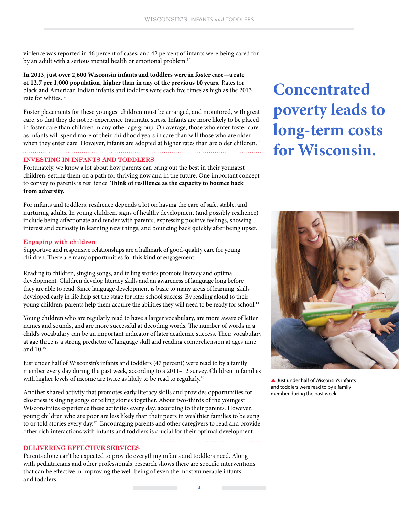violence was reported in 46 percent of cases; and 42 percent of infants were being cared for by an adult with a serious mental health or emotional problem.<sup>11</sup>

**In 2013, just over 2,600 Wisconsin infants and toddlers were in foster care—a rate of 12.7 per 1,000 population, higher than in any of the previous 10 years.** Rates for black and American Indian infants and toddlers were each five times as high as the 2013 rate for whites.12

Foster placements for these youngest children must be arranged, and monitored, with great care, so that they do not re-experience traumatic stress. Infants are more likely to be placed in foster care than children in any other age group. On average, those who enter foster care as infants will spend more of their childhood years in care than will those who are older when they enter care. However, infants are adopted at higher rates than are older children.<sup>13</sup> 

#### **INVESTING IN INFANTS AND TODDLERS**

Fortunately, we know a lot about how parents can bring out the best in their youngest children, setting them on a path for thriving now and in the future. One important concept to convey to parents is resilience. **Think of resilience as the capacity to bounce back from adversity.** 

For infants and toddlers, resilience depends a lot on having the care of safe, stable, and nurturing adults. In young children, signs of healthy development (and possibly resilience) include being affectionate and tender with parents, expressing positive feelings, showing interest and curiosity in learning new things, and bouncing back quickly after being upset.

#### **Engaging with children**

Supportive and responsive relationships are a hallmark of good-quality care for young children. There are many opportunities for this kind of engagement.

Reading to children, singing songs, and telling stories promote literacy and optimal development. Children develop literacy skills and an awareness of language long before they are able to read. Since language development is basic to many areas of learning, skills developed early in life help set the stage for later school success. By reading aloud to their young children, parents help them acquire the abilities they will need to be ready for school.<sup>14</sup>

Young children who are regularly read to have a larger vocabulary, are more aware of letter names and sounds, and are more successful at decoding words. The number of words in a child's vocabulary can be an important indicator of later academic success. Their vocabulary at age three is a strong predictor of language skill and reading comprehension at ages nine and  $10^{15}$ 

Just under half of Wisconsin's infants and toddlers (47 percent) were read to by a family member every day during the past week, according to a 2011–12 survey. Children in families with higher levels of income are twice as likely to be read to regularly.<sup>16</sup>

Another shared activity that promotes early literacy skills and provides opportunities for closeness is singing songs or telling stories together. About two-thirds of the youngest Wisconsinites experience these activities every day, according to their parents. However, young children who are poor are less likely than their peers in wealthier families to be sung to or told stories every day.<sup>17</sup> Encouraging parents and other caregivers to read and provide other rich interactions with infants and toddlers is crucial for their optimal development.

#### **DELIVERING EFFECTIVE SERVICES**

Parents alone can't be expected to provide everything infants and toddlers need. Along with pediatricians and other professionals, research shows there are specific interventions that can be effective in improving the well-being of even the most vulnerable infants and toddlers.

# **Concentrated poverty leads to long-term costs for Wisconsin.**



 $\triangle$  Just under half of Wisconsin's infants and toddlers were read to by a family member during the past week.